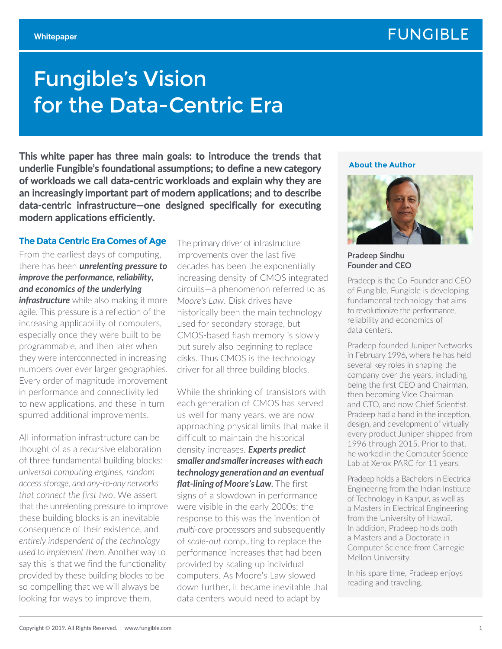# Fungible's Vision for the Data-Centric Era

This white paper has three main goals: to introduce the trends that underlie Fungible's foundational assumptions; to define a new category of workloads we call data-centric workloads and explain why they are an increasingly important part of modern applications; and to describe data-centric infrastructure—one designed specifically for executing modern applications efficiently.

#### **The Data Centric Era Comes of Age**

From the earliest days of computing, there has been *unrelenting pressure to improve the performance, reliability, and economics of the underlying* 

*infrastructure* while also making it more agile. This pressure is a reflection of the increasing applicability of computers, especially once they were built to be programmable, and then later when they were interconnected in increasing numbers over ever larger geographies. Every order of magnitude improvement in performance and connectivity led to new applications, and these in turn spurred additional improvements.

All information infrastructure can be thought of as a recursive elaboration of three fundamental building blocks: *universal computing engines, random accessstorage, and any-to-any networks that connect the first two*. We assert that the unrelenting pressure to improve these building blocks is an inevitable consequence of their existence, and *entirely independent of the technology used to implement them*. Another way to say this is that we find the functionality provided by these building blocks to be so compelling that we will always be looking for ways to improve them.

The primary driver of infrastructure improvements over the last five decades has been the exponentially increasing density of CMOS integrated circuits—a phenomenon referred to as *Moore's Law*. Disk drives have historically been the main technology used for secondary storage, but CMOS-based flash memory is slowly but surely also beginning to replace disks. Thus CMOS is the technology driver for all three building blocks.

While the shrinking of transistors with each generation of CMOS has served us well for many years, we are now approaching physical limits that make it difficult to maintain the historical density increases. *Experts predict smaller and smaller increases with each technology generation and an eventual flat-lining of Moore's Law.* The first signs of a slowdown in performance were visible in the early 2000s; the response to this was the invention of *multi-core* processors and subsequently of *scale-out* computing to replace the performance increases that had been provided by scaling up individual computers. As Moore's Law slowed down further, it became inevitable that data centers would need to adapt by

#### **About the Author**



**Pradeep Sindhu Founder and CEO** 

Pradeep is the Co-Founder and CEO of Fungible. Fungible is developing fundamental technology that aims to revolutionize the performance, reliability and economics of data centers.

Pradeep founded Juniper Networks in February 1996, where he has held several key roles in shaping the company over the years, including being the first CEO and Chairman, then becoming Vice Chairman and CTO, and now Chief Scientist. Pradeep had a hand in the inception, design, and development of virtually every product Juniper shipped from 1996 through 2015. Prior to that, he worked in the Computer Science Lab at Xerox PARC for 11 years.

Pradeep holds a Bachelors in Electrical Engineering from the Indian Institute of Technology in Kanpur, as well as a Masters in Electrical Engineering from the University of Hawaii. In addition, Pradeep holds both a Masters and a Doctorate in Computer Science from Carnegie Mellon University.

In his spare time, Pradeep enjoys reading and traveling.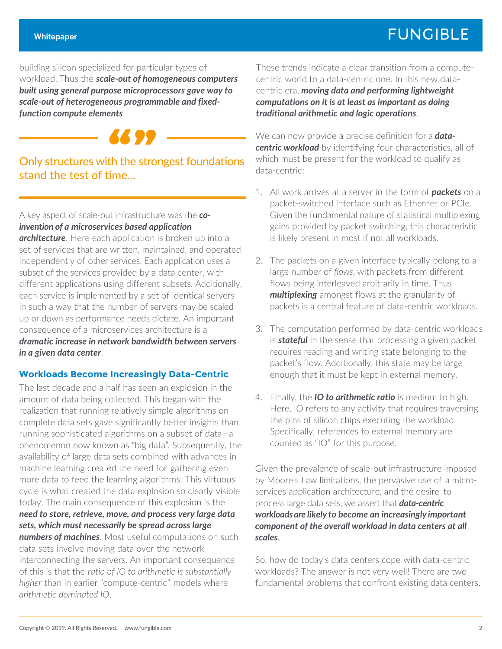building silicon specialized for particular types of workload. Thus the *scale-out of homogeneous computers built using general purpose microprocessors gave way to scale-out of heterogeneous programmable and fixedfunction compute elements*.



Only structures with the strongest foundations stand the test of time...

A key aspect of scale-out infrastructure was the *coinvention of a microservices based application* 

*architecture*. Here each application is broken up into a set of services that are written, maintained, and operated independently of other services. Each application uses a subset of the services provided by a data center, with different applications using different subsets. Additionally, each service is implemented by a set of identical servers in such a way that the number of servers may be scaled up or down as performance needs dictate. An important consequence of a microservices architecture is a *dramatic increase in network bandwidth between servers in a given data center*.

### **Workloads Become Increasingly Data-Centric**

The last decade and a half has seen an explosion in the amount of data being collected. This began with the realization that running relatively simple algorithms on complete data sets gave significantly better insights than running sophisticated algorithms on a subset of data—a phenomenon now known as "big data". Subsequently, the availability of large data sets combined with advances in machine learning created the need for gathering even more data to feed the learning algorithms. This virtuous cycle is what created the data explosion so clearly visible today. The main consequence of this explosion is the *need to store, retrieve, move, and process very large data sets, which must necessarily be spread across large numbers of machines*. Most useful computations on such data sets involve moving data over the network interconnecting the servers. An important consequence of this is that the *ratio of IO to arithmetic is substantially higher* than in earlier "compute-centric" models where *arithmetic dominated IO*.

These trends indicate a clear transition from a computecentric world to a data-centric one. In this new datacentric era, *moving data and performing lightweight computations on it is at least as important as doing traditional arithmetic and logic operations*.

We can now provide a precise definition for a *datacentric workload* by identifying four characteristics, all of which must be present for the workload to qualify as data-centric:

- 1. All work arrives at a server in the form of *packets* on a packet-switched interface such as Ethernet or PCIe. Given the fundamental nature of statistical multiplexing gains provided by packet switching, this characteristic is likely present in most if not all workloads.
- 2. The packets on a given interface typically belong to a large number of *flows*, with packets from different flows being interleaved arbitrarily in time. Thus *multiplexing* amongst flows at the granularity of packets is a central feature of data-centric workloads.
- 3. The computation performed by data-centric workloads is *stateful* in the sense that processing a given packet requires reading and writing state belonging to the packet's flow. Additionally, this state may be large enough that it must be kept in external memory.
- 4. Finally, the *IO to arithmetic ratio* is medium to high. Here, IO refers to any activity that requires traversing the pins of silicon chips executing the workload. Specifically, references to external memory are counted as "IO" for this purpose.

Given the prevalence of scale-out infrastructure imposed by Moore's Law limitations, the pervasive use of a microservices application architecture, and the desire to process large data sets, we assert that *data-centric workloadsare likely to become an increasingly important component of the overall workload in data centers at all scales*.

So, how do today's data centers cope with data-centric workloads? The answer is not very well! There are two fundamental problems that confront existing data centers.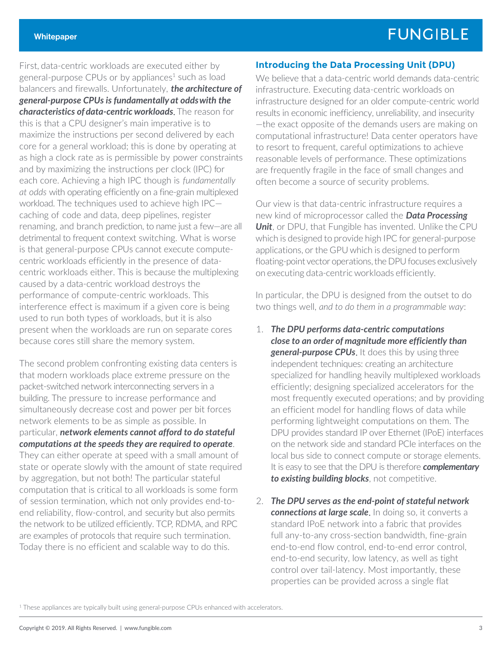First, data-centric workloads are executed either by general-purpose CPUs or by appliances<sup>1</sup> such as load balancers and firewalls. Unfortunately, *the architecture of general-purpose CPUs is fundamentally at odds with the characteristics of data-centric workloads*. The reason for this is that a CPU designer's main imperative is to maximize the instructions per second delivered by each core for a general workload; this is done by operating at as high a clock rate as is permissible by power constraints and by maximizing the instructions per clock (IPC) for each core. Achieving a high IPC though is *fundamentally at odds* with operating efficiently on a fine-grain multiplexed workload. The techniques used to achieve high IPC caching of code and data, deep pipelines, register renaming, and branch prediction, to name just a few—are all detrimental to frequent context switching. What is worse is that general-purpose CPUs cannot execute computecentric workloads efficiently in the presence of datacentric workloads either. This is because the multiplexing caused by a data-centric workload destroys the performance of compute-centric workloads. This interference effect is maximum if a given core is being used to run both types of workloads, but it is also present when the workloads are run on separate cores because cores still share the memory system.

The second problem confronting existing data centers is that modern workloads place extreme pressure on the packet-switched network interconnecting servers in a building. The pressure to increase performance and simultaneously decrease cost and power per bit forces network elements to be as simple as possible. In particular, *network elements cannot afford to do stateful computations at the speeds they are required to operate*. They can either operate at speed with a small amount of state or operate slowly with the amount of state required by aggregation, but not both! The particular stateful computation that is critical to all workloads is some form of session termination, which not only provides end-toend reliability, flow-control, and security but also permits the network to be utilized efficiently. TCP, RDMA, and RPC are examples of protocols that require such termination. Today there is no efficient and scalable way to do this.

#### **Introducing the Data Processing Unit (DPU)**

We believe that a data-centric world demands data-centric infrastructure. Executing data-centric workloads on infrastructure designed for an older compute-centric world results in economic inefficiency, unreliability, and insecurity —the exact opposite of the demands users are making on computational infrastructure! Data center operators have to resort to frequent, careful optimizations to achieve reasonable levels of performance. These optimizations are frequently fragile in the face of small changes and often become a source of security problems.

Our view is that data-centric infrastructure requires a new kind of microprocessor called the *Data Processing Unit*, or DPU, that Fungible has invented. Unlike the CPU which is designed to provide high IPC for general-purpose applications, or the GPU which is designed to perform floating-point vector operations, the DPU focuses exclusively on executing data-centric workloads efficiently.

In particular, the DPU is designed from the outset to do two things well, *and to do them in a programmable way*:

- 1. *The DPU performs data-centric computations close to an order of magnitude more efficiently than general-purpose CPUs*. It does this by using three independent techniques: creating an architecture specialized for handling heavily multiplexed workloads efficiently; designing specialized accelerators for the most frequently executed operations; and by providing an efficient model for handling flows of data while performing lightweight computations on them. The DPU provides standard IP over Ethernet (IPoE) interfaces on the network side and standard PCIe interfaces on the local bus side to connect compute or storage elements. It is easy to see that the DPU is therefore *complementary to existing building blocks*, not competitive.
- 2. *The DPU serves as the end-point of stateful network connections at large scale*. In doing so, it converts a standard IPoE network into a fabric that provides full any-to-any cross-section bandwidth, fine-grain end-to-end flow control, end-to-end error control, end-to-end security, low latency, as well as tight control over tail-latency. Most importantly, these properties can be provided across a single flat

<sup>1</sup> These appliances are typically built using general-purpose CPUs enhanced with accelerators.